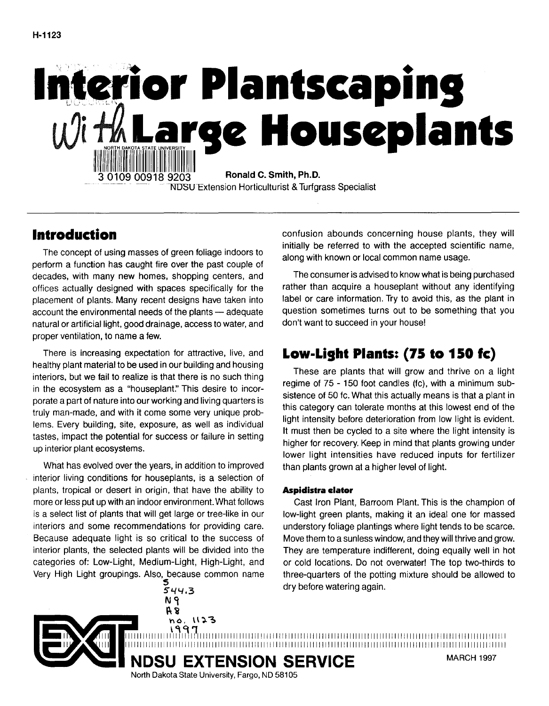

# **Introduction**

The concept of using masses of green foliage indoors to perform a function has caught fire over the past couple of decades, with many new homes, shopping centers, and offices actually designed with spaces specifically for the placement of plants. Many recent designs have taken into account the environmental needs of the plants - adequate natural or artificial light, good drainage, access to water, and proper ventilation, to name a few.

There is increasing expectation for attractive, live, and healthy plant material to be used in our building and housing interiors, but we fail to realize is that there is no such thing in the ecosystem as a "houseplant." This desire to incorporate a part of nature into our working and living quarters is truly man-made, and with it come some very unique problems. Every building, site, exposure, as well as individual tastes, impact the potential for success or failure in setting up interior plant ecosystems.

What has evolved over the years, in addition to improved interior living conditions for houseplants, is a selection of plants, tropical or desert in origin, that have the ability to more or less put up with an indoor environment. What follows is a select list of plants that will get large or tree-like in our interiors and some recommendations for providing care. Because adequate light is so critical to the success of interior plants, the selected plants will be divided into the categories of: Low-Light, Medium-Light, High-Light, and Very High Light groupings. Also, because common name 5

544.3 **N<i**  ~i

no. 1123

North Dakota State University, Fargo, ND 58105

confusion abounds concerning house plants, they will initially be referred to with the accepted scientific name, along with known or local common name usage.

The consumer is advised to know what is being purchased rather than acquire a houseplant without any identifying label or care information. Try to avoid this, as the plant in question sometimes turns out to be something that you don't want to succeed in your house!

# **Low-Light Plants: (75 to 150 fe)**

These are plants that will grow and thrive on a light regime of 75 - 150 foot candles (fc), with a minimum subsistence of 50 fc. What this actually means is that a plant in this category can tolerate months at this lowest end of the light intensity before deterioration from low light is evident. It must then be cycled to a site where the light intensity is higher for recovery. Keep in mind that plants growing under lower light intensities have reduced inputs for fertilizer than plants grown at a higher level of light.

# **Aspidistra clator**

1111111111111111\1~1~17111111111111111111111111111111111111111111111111111111111111111111111111111111111111111111111111111111 11111111111111111111I111111111111111111111111111111111111111111111111111111111111111111111111111111111111111111111111111111111

Cast Iron Plant, Barroom Plant. This is the champion of low-light green plants, making it an ideal one for massed understory foliage plantings where light tends to be scarce. Move them to a sunless window, and they will thrive and grow. They are temperature indifferent, doing equally well in hot or cold locations. Do not overwater! The top two-thirds to three-quarters of the potting mixture should be allowed to dry before watering again.



**NDSU EXTENSION SERVICE** MARCH 1997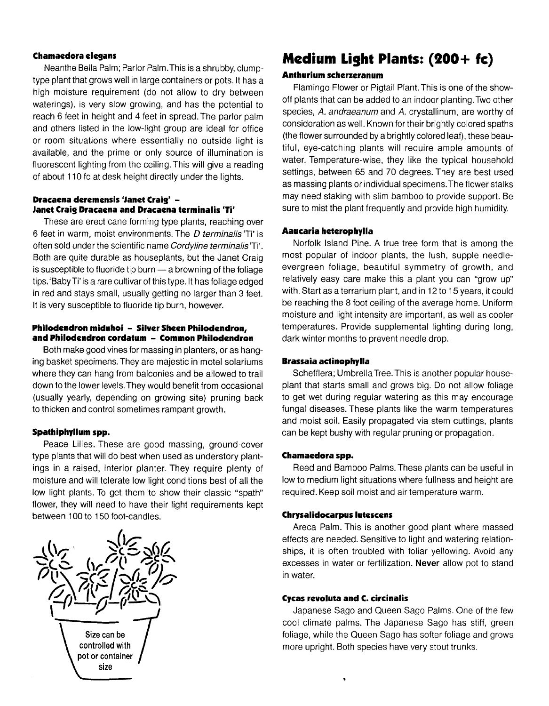# **Chamaedora elegans**

Neanthe Bella Palm; Parlor Palm. This is a shrubby, clumptype plant that grows well in large containers or pots. It has a high moisture requirement (do not allow to dry between waterings), is very slow growing, and has the potential to reach 6 feet in height and 4 feet in spread. The parlor palm and others listed in the low-light group are ideal for office or room situations where essentially no outside light is available, and the prime or only source of illumination is fluorescent lighting from the ceiling. This will give a reading of about 110 fc at desk height directly under the lights.

# **Dracaena deremensis 'Janet Craig'** - **Janet Craig Dracaena and Draeaena terminalis 'Ti'**

These are erect cane forming type plants, reaching over 6 feet in warm, moist environments. The *D terminalis* 'Ti' is often sold under the scientific name Cordy/ine terminalis 'Ti'. Both are quite durable as houseplants, but the Janet Craig is susceptible to fluoride tip burn - a browning of the foliage tips. 'BabyTi' is a rare cultivar of this type. It has foliage edged in red and stays small, usually getting no larger than 3 feet. It is very susceptible to fluoride tip burn, however.

#### **Philodendron miduhoi - Silver Sheen Philodendron, and Philodendron eordatum - Common Philodendron**

Both make good vines for massing in planters, or as hanging basket specimens. They are majestic in motel solariums where they can hang from balconies and be allowed to trail down to the lower levels. They would benefit from occasional (usually yearly, depending on growing site) pruning back to thicken and control sometimes rampant growth.

# **Spathiphyllum spp.**

Peace Lilies. These are good massing, ground-cover type plants that will do best when used as understory plantings in a raised, interior planter. They require plenty of moisture and will tolerate low light conditions best of all the low light plants. To get them to show their classic "spath" flower, they will need to have their light requirements kept between 100 to 150 foot-candles.



# **Medium Light Plants: (200+ fc)**

# **Anthurium scherzeranum**

Flamingo Flower or Pigtail Plant. This is one of the showoff plants that can be added to an indoor planting. Two other species, A. andraeanum and A. crystallinum, are worthy of consideration as well. Known for their brightly colored spaths (the flower surrounded by a brightly colored leaf), these beautiful, eye-catching plants will require ample amounts of water. Temperature-wise, they like the typical household settings, between 65 and 70 degrees. They are best used as massing plants or individual specimens. The flower stalks may need staking with slim bamboo to provide support. Be sure to mist the plant frequently and provide high humidity.

### **Aaucaria heterophylla**

Norfolk Island Pine. A true tree form that is among the most popular of indoor plants, the lush, supple needleevergreen foliage, beautiful symmetry of growth, and relatively easy care make this a plant you can "grow up" with. Start as a terrarium plant, and in 12 to 15 years, it could be reaching the 8 foot ceiling of the average home. Uniform moisture and light intensity are important, as well as cooler temperatures. Provide supplemental lighting during long, dark winter months to prevent needle drop.

#### **Brassaia actinophylla**

Schefflera; Umbrella Tree. This is another popular houseplant that starts small and grows big. Do not allow foliage to get wet during regular watering as this may encourage fungal diseases. These plants like the warm temperatures and moist soil. Easily propagated via stem cuttings, plants can be kept bushy with regular pruning or propagation.

# **Chamaedora spp.**

Reed and Bamboo Palms. These plants can be useful in low to medium light situations where fullness and height are required. Keep soil moist and air temperature warm.

### **Chrysalidocarpus luteseens**

Areca Palm. This is another good plant where massed effects are needed. Sensitive to light and watering relationships, it is often troubled with foliar yellowing. Avoid any excesses in water or fertilization. **Never** allow pot to stand in water.

# **Cycas revoluta and C. eircinalis**

Japanese Sago and Queen Sago Palms. One of the few cool climate palms. The Japanese Sago has stiff, green foliage, while the Queen Sago has softer foliage and grows more upright. Both species have very stout trunks.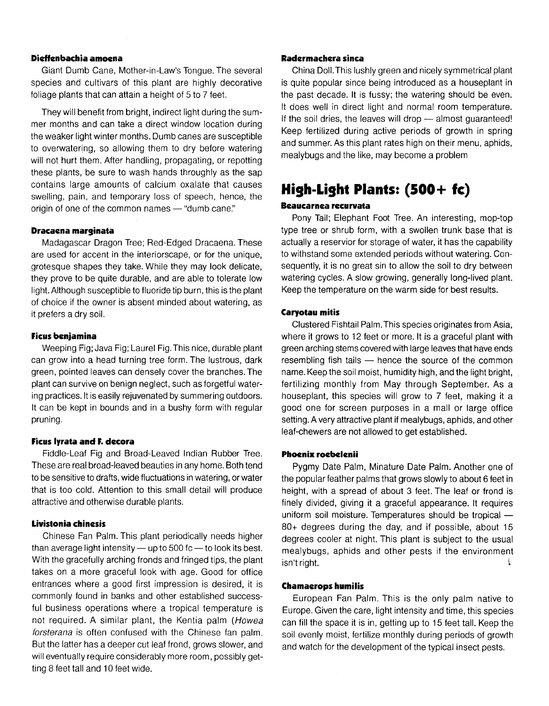#### **Didfenbachia amoena**

Giant Dumb Cane, Mother-in-Law's Tongue. The several species and cultivars of this plant are highly decorative foliage plants that can attain a height of 5 to 7 feet.

They will benefit from bright, indirect light during the summer months and can take a direct window location during the weaker light winter months. Dumb canes are susceptible to overwatering, so allowing them to dry before watering will not hurt them. After handling, propagating, or repotting these plants, be sure to wash hands throughly as the sap contains large amounts of calcium oxalate that causes swelling, pain, and temporary loss of speech, hence, the origin of one of the common names  $-$  "dumb cane."

# **Dracaena marginata**

Madagascar Dragon Tree; Red-Edged Dracaena. These are used for accent in the interiorscape, or for the unique, grotesque shapes they take. While they may look delicate, they prove to be quite durable, and are able to tolerate low light. Although susceptible to fluoride tip burn, this is the plant of choice if the owner is absent minded about watering, as it prefers a dry soil.

#### **Ficus benjamina**

Weeping Fig; Java Fig; Laurel Fig. This nice, durable plant can grow into a head turning tree form. The lustrous, dark green, pointed leaves can densely cover the branches. The plant can survive on benign neglect, such as forgetful watering practices. It is easily rejuvenated by summering outdoors. It can be kept in bounds and in a bushy form with regular pruning.

#### **Ficus Iyrata and F. decora**

Fiddle-Leaf Fig and Broad-Leaved Indian Rubber Tree. These are real broad-leaved beauties in any home. Both tend to be sensitive to drafts, wide fluctuations in watering, or water that is too cold. Attention to this small detail will produce attractive and otherwise durable plants.

### **Livistonia chinesis**

Chinese Fan Palm. This plant periodically needs higher than average light intensity  $-$  up to 500 fc  $-$  to look its best. With the gracefully arching fronds and fringed tips, the plant takes on a more graceful look with age. Good for office entrances where a good first impression is desired, it is commonly found in banks and other established successful business operations where a tropical temperature is not required. A similar plant, the Kentia palm (Howea forsterana is often confused with the Chinese fan palm. But the latter has a deeper cut leaf frond, grows slower, and will eventually require considerably more room, possibly getting 8 feet tall and 10 feet wide.

#### **Radermachera sinca**

China Doll. This lushly green and nicely symmetrical plant is quite popular since being introduced as a houseplant in the past decade. It is fussy; the watering should be even. It does well in direct light and normal room temperature. If the soil dries, the leaves will drop  $-$  almost guaranteed! Keep fertilized during active periods of growth in spring and summer. As this plant rates high on their menu, aphids, mealybugs and the like, may become a problem

# **High-Light Plants: (500 + Ie)**

# **Beaucarnea recurvata**

Pony Tail; Elephant Foot Tree. An interesting, mop-top type tree or shrub form, with a swollen trunk base that is actually a reservior for storage of water, it has the capability to withstand some extended periods without watering. Consequently, it is no great sin to allow the soil to dry between watering cycles. A slow growing, generally long-lived plant. Keep the temperature on the warm side for best results.

### **Caryotau mitis**

Clustered Fishtail Palm. This species originates from Asia, where it grows to 12 feet or more. It is a graceful plant with green arching stems covered with large leaves that have ends resembling fish tails  $-$  hence the source of the common name. Keep the soil moist, humidity high, and the light bright, fertilizing monthly from May through September. As a houseplant, this species will grow to 7 feet, making it a good one for screen purposes in a mall or large office setting. A very attractive plant if mealybugs, aphids, and other leaf-chewers are not allowed to get established.

#### **Phoenix roebelenii**

Pygmy Date Palm, Minature Date Palm. Another one of the popular feather palms that grows slowly to about 6 feet in height, with a spread of about 3 feet. The leaf or frond is finely divided, giving it a graceful appearance. It requires uniform soil moisture. Temperatures should be tropical -80+ degrees during the day, and if possible, about 15 degrees cooler at night. This plant is subject to the usual mealybugs, aphids and other pests if the environment isn't right. ÷.

#### **Chamaerops humilis**

European Fan Palm. This is the only palm native to Europe. Given the care, light intensity and time, this species can fill the space it is in, getting up to 15 feet tall. Keep the soil evenly moist, fertilize monthly during periods of growth and watch for the development of the typical insect pests.